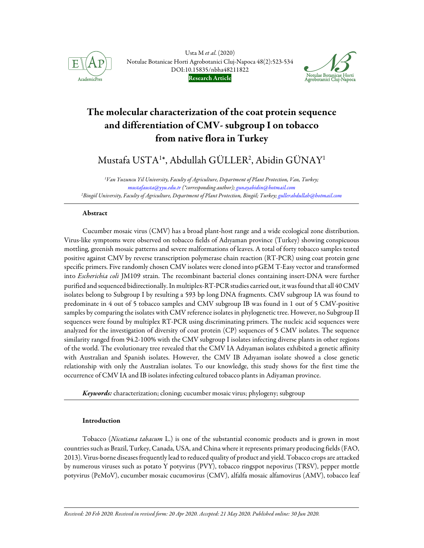

Usta M et al. (2020) Notulae Botanicae Horti Agrobotanici Cluj-Napoca 48(2):523-534 DOI:10.15835/nbha48211822 Research Article



# The molecular characterization of the coat protein sequence and differentiation of CMV- subgroup I on tobacco from native flora in Turkey

Mustafa USTA1\*, Abdullah GÜLLER<sup>2</sup>, Abidin GÜNAY<sup>1</sup>

<sup>1</sup>Van Yuzuncu Yil University, Faculty of Agriculture, Department of Plant Protection, Van, Turkey; mustafausta@yyu.edu.tr (\*corresponding author); gunayabidin@hotmail.com <sup>2</sup>Bingöl University, Faculty of Agriculture, Department of Plant Protection, Bingöl; Turkey; gullerabdullah@hotmail.com

# Abstract

Cucumber mosaic virus (CMV) has a broad plant-host range and a wide ecological zone distribution. Virus-like symptoms were observed on tobacco fields of Adıyaman province (Turkey) showing conspicuous mottling, greenish mosaic patterns and severe malformations of leaves. A total of forty tobacco samples tested positive against CMV by reverse transcription polymerase chain reaction (RT-PCR) using coat protein gene specific primers. Five randomly chosen CMV isolates were cloned into pGEM T-Easy vector and transformed into Escherichia coli JM109 strain. The recombinant bacterial clones containing insert-DNA were further purified and sequenced bidirectionally. In multiplex-RT-PCR studies carried out, it was found that all 40 CMV isolates belong to Subgroup I by resulting a 593 bp long DNA fragments. CMV subgroup IA was found to predominate in 4 out of 5 tobacco samples and CMV subgroup IB was found in 1 out of 5 CMV-positive samples by comparing the isolates with CMV reference isolates in phylogenetic tree. However, no Subgroup II sequences were found by multiplex RT-PCR using discriminating primers. The nucleic acid sequences were analyzed for the investigation of diversity of coat protein (CP) sequences of 5 CMV isolates. The sequence similarity ranged from 94.2-100% with the CMV subgroup I isolates infecting diverse plants in other regions of the world. The evolutionary tree revealed that the CMV IA Adıyaman isolates exhibited a genetic affinity with Australian and Spanish isolates. However, the CMV IB Adıyaman isolate showed a close genetic relationship with only the Australian isolates. To our knowledge, this study shows for the first time the occurrence of CMV IA and IB isolates infecting cultured tobacco plants in Adiyaman province.

Keywords: characterization; cloning; cucumber mosaic virus; phylogeny; subgroup

# Introduction

Tobacco (Nicotiana tabacum L.) is one of the substantial economic products and is grown in most countries such as Brazil, Turkey, Canada, USA, and China where it represents primary producing fields (FAO, 2013). Virus-borne diseases frequently lead to reduced quality of product and yield. Tobacco crops are attacked by numerous viruses such as potato Y potyvirus (PVY), tobacco ringspot nepovirus (TRSV), pepper mottle potyvirus (PeMoV), cucumber mosaic cucumovirus (CMV), alfalfa mosaic alfamovirus (AMV), tobacco leaf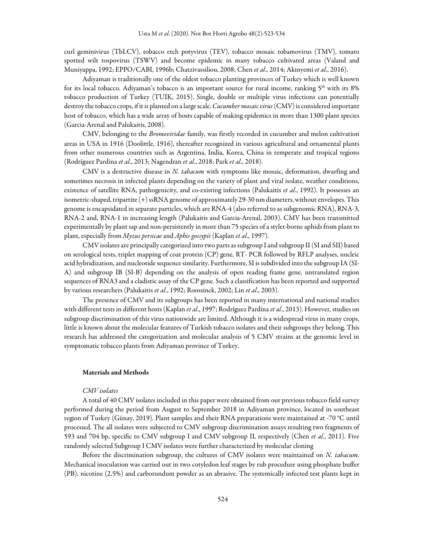curl geminivirus (TbLCV), tobacco etch potyvirus (TEV), tobacco mosaic tobamovirus (TMV), tomato spotted wilt tospovirus (TSWV) and become epidemic in many tobacco cultivated areas (Valand and Muniyappa, 1992; EPPO/CABI, 1996b; Chatzivassiliou, 2008; Chen et al., 2014; Akinyemi et al., 2016).

Adiyaman is traditionally one of the oldest tobacco planting provinces of Turkey which is well known for its local tobacco. Adiyaman's tobacco is an important source for rural income, ranking  $5<sup>th</sup>$  with its 8% tobacco production of Turkey (TUIK, 2015). Single, double or multiple virus infections can potentially destroy the tobacco crops, if it is planted on a large scale. Cucumber mosaic virus (CMV) is considered important host of tobacco, which has a wide array of hosts capable of making epidemics in more than 1300 plant species (Garcia-Arenal and Palukaitis, 2008).

CMV, belonging to the *Bromoviridae* family, was firstly recorded in cucumber and melon cultivation areas in USA in 1916 (Doolittle, 1916), thereafter recognized in various agricultural and ornamental plants from other numerous countries such as Argentina, India, Korea, China in temperate and tropical regions (Rodríguez Pardina et al., 2013; Nagendran et al., 2018; Park et al., 2018).

CMV is a destructive disease in N. tabacum with symptoms like mosaic, deformation, dwarfing and sometimes necrosis in infected plants depending on the variety of plant and viral isolate, weather conditions, existence of satellite RNA, pathogenicity, and co-existing infections (Palukaitis et al., 1992). It possesses an isometric-shaped, tripartite (+) ssRNA genome of approximately 29-30 nm diameters, without envelopes. This genome is encapsidated in separate particles, which are RNA-4 (also referred to as subgenomic RNA), RNA-3, RNA-2 and, RNA-1 in increasing length (Palukaitis and Garcia-Arenal, 2003). CMV has been transmitted experimentally by plant sap and non-persistently in more than 75 species of a stylet-borne aphids from plant to plant, especially from Myzus persicae and Aphis gossypii (Kaplan et al., 1997).

CMV isolates are principally categorized into two parts as subgroup I and subgroup II (SI and SII) based on serological tests, triplet mapping of coat protein (CP) gene, RT- PCR followed by RFLP analyses, nucleic acid hybridization, and nucleotide sequence similarity. Furthermore, SI is subdivided into the subgroup IA (SI-A) and subgroup IB (SI-B) depending on the analysis of open reading frame gene, untranslated region sequences of RNA3 and a cladistic assay of the CP gene. Such a classification has been reported and supported by various researchers (Palukaitis et al., 1992; Roossinck, 2002; Lin et al., 2003).

The presence of CMV and its subgroups has been reported in many international and national studies with different tests in different hosts (Kaplan et al., 1997; Rodríguez Pardina et al., 2013). However, studies on subgroup discrimination of this virus nationwide are limited. Although it is a widespread virus in many crops, little is known about the molecular features of Turkish tobacco isolates and their subgroups they belong. This research has addressed the categorization and molecular analysis of 5 CMV strains at the genomic level in symptomatic tobacco plants from Adiyaman province of Turkey.

#### Materials and Methods

## CMV isolates

A total of 40 CMV isolates included in this paper were obtained from our previous tobacco field survey performed during the period from August to September 2018 in Adiyaman province, located in southeast region of Turkey (Günay, 2019). Plant samples and their RNA preparations were maintained at -70 °C until processed. The all isolates were subjected to CMV subgroup discrimination assays resulting two fragments of 593 and 704 bp, specific to CMV subgroup I and CMV subgroup II, respectively (Chen et al., 2011). Five randomly selected Subgroup I CMV isolates were further characterized by molecular cloning

Before the discrimination subgroup, the cultures of CMV isolates were maintained on N. tabacum. Mechanical inoculation was carried out in two cotyledon leaf stages by rub procedure using phosphate buffer (PB), nicotine (2.5%) and carborundum powder as an abrasive. The systemically infected test plants kept in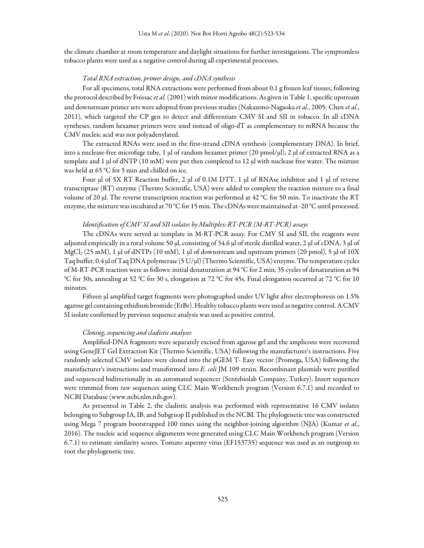the climate chamber at room temperature and daylight situations for further investigations. The symptomless tobacco plants were used as a negative control during all experimental processes.

## Total RNA extraction, primer design, and cDNA synthesis

For all specimens, total RNA extractions were performed from about 0.1 g frozen leaf tissues, following the protocol described by Foissac et al. (2001) with minor modifications. As given in Table 1, specific upstream and downstream primer sets were adopted from previous studies (Nakazono-Nagaoka et al., 2005; Chen et al., 2011), which targeted the CP gen to detect and differentiate CMV SI and SII in tobacco. In all cDNA syntheses, random hexamer primers were used instead of oligo-dT as complementary to mRNA because the CMV nucleic acid was not polyadenylated.

The extracted RNAs were used in the first-strand cDNA synthesis (complementary DNA). In brief, into a nuclease-free microfuge tube, 1 μl of random hexamer primer (20 pmol/μl), 2 μl of extracted RNA as a template and 1 μl of dNTP (10 mM) were put then completed to 12 μl with nuclease free water. The mixture was held at 65 °C for 5 min and chilled on ice.

Four μl of 5Χ RT Reaction buffer, 2 μl of 0.1M DTT, 1 μl of RNAse inhibitor and 1 μl of reverse transcriptase (RT) enzyme (Thermo Scientific, USA) were added to complete the reaction mixture to a final volume of 20 μl. The reverse transcription reaction was performed at 42 °C for 50 min. To inactivate the RT enzyme, the mixture was incubated at 70 °C for 15 min. The cDNAs were maintained at -20 °C until processed.

### Identification of CMV SI and SII isolates by Multiplex-RT-PCR (M-RT-PCR) assays

The cDNAs were served as template in M-RT-PCR assay. For CMV SI and SII, the reagents were adjusted empirically in a total volume 50 μl, consisting of 34.6 μl of sterile distilled water, 2 μl of cDNA, 3 μl of MgCl2 (25 mM), 1 μl of dNTPs (10 mM), 1 μl of downstream and upstream primers (20 pmol), 5 μl of 10Χ Taq buffer, 0.4 μl of Taq DNA polymerase (5 U/μl) (Thermo Scientific, USA) enzyme. The temperature cycles of M-RT-PCR reaction were as follows: initial denaturation at 94 °C for 2 min, 35 cycles of denaturation at 94 °C for 30s, annealing at 52 °C for 30 s, elongation at 72 °C for 45s. Final elongation occurred at 72 °C for 10 minutes.

Fifteen μl amplified target fragments were photographed under UV light after electrophoresis on 1.5% agarose gel containing ethidium bromide (EtBr). Healthy tobacco plants were used as negative control. A CMV SI isolate confirmed by previous sequence analysis was used as positive control.

## Cloning, sequencing and cladistic analyses

Amplified-DNA fragments were separately excised from agarose gel and the amplicons were recovered using GeneJET Gel Extraction Kit (Thermo Scientific, USA) following the manufacturer's instructions. Five randomly selected CMV isolates were cloned into the pGEM T- Easy vector (Promega, USA) following the manufacturer's instructions and transformed into E. coli JM 109 strain. Recombinant plasmids were purified and sequenced bidirectionally in an automated sequencer (Sentebiolab Company, Turkey). Insert sequences were trimmed from raw sequences using CLC Main Workbench program (Version 6.7.1) and recorded to NCBI Database (www.ncbi.nlm.nih.gov).

As presented in Table 2, the cladistic analysis was performed with representative 16 CMV isolates belonging to Subgroup IA, IB, and Subgruop II published in the NCBI. The phylogenetic tree was constructed using Mega 7 program bootstrapped 100 times using the neighbor-joining algorithm (NJA) (Kumar et al., 2016). The nucleic acid sequence alignments were generated using CLC Main Workbench program (Version 6.7.1) to estimate similarity scores. Tomato aspermy virus (EF153735) sequence was used as an outgroup to root the phylogenetic tree.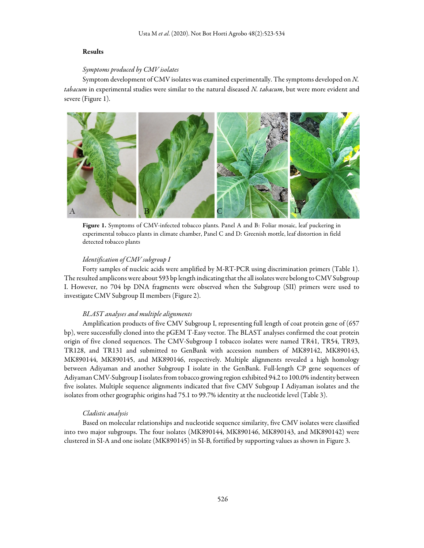## Results

## Symptoms produced by CMV isolates

Symptom development of CMV isolates was examined experimentally. The symptoms developed on N. tabacum in experimental studies were similar to the natural diseased N. tabacum, but were more evident and severe (Figure 1).



Figure 1. Symptoms of CMV-infected tobacco plants. Panel A and B: Foliar mosaic, leaf puckering in experimental tobacco plants in climate chamber, Panel C and D: Greenish mottle, leaf distortion in field detected tobacco plants

## Identification of CMV subgroup I

Forty samples of nucleic acids were amplified by M-RT-PCR using discrimination primers (Table 1). The resulted amplicons were about 593 bp length indicating that the all isolates were belong to CMV Subgroup I. However, no 704 bp DNA fragments were observed when the Subgroup (SII) primers were used to investigate CMV Subgroup II members (Figure 2).

### BLAST analyses and multiple alignments

Amplification products of five CMV Subgroup I, representing full length of coat protein gene of (657 bp), were successfully cloned into the pGEM T-Easy vector. The BLAST analyses confirmed the coat protein origin of five cloned sequences. The CMV-Subgroup I tobacco isolates were named TR41, TR54, TR93, TR128, and TR131 and submitted to GenBank with accession numbers of MK89142, MK890143, MK890144, MK890145, and MK890146, respectively. Multiple alignments revealed a high homology between Adiyaman and another Subgroup I isolate in the GenBank. Full-length CP gene sequences of Adiyaman CMV-Subgroup I isolates from tobacco growing region exhibited 94.2 to 100.0% indentity between five isolates. Multiple sequence alignments indicated that five CMV Subgoup I Adiyaman isolates and the isolates from other geographic origins had 75.1 to 99.7% identity at the nucleotide level (Table 3).

# Cladistic analysis

Based on molecular relationships and nucleotide sequence similarity, five CMV isolates were classified into two major subgroups. The four isolates (MK890144, MK890146, MK890143, and MK890142) were clustered in SI-A and one isolate (MK890145) in SI-B, fortified by supporting values as shown in Figure 3.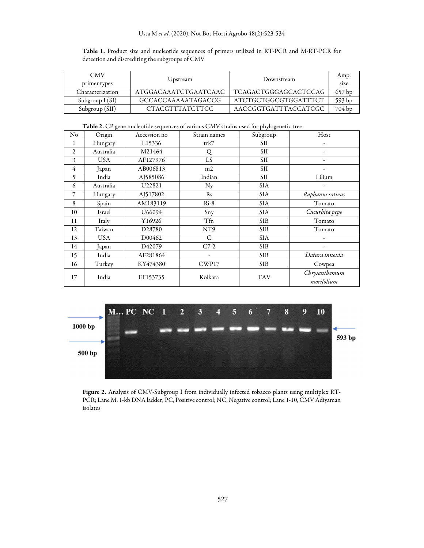# Usta M et al. (2020). Not Bot Horti Agrobo 48(2):523-534

Table 1. Product size and nucleotide sequences of primers utilized in RT-PCR and M-RT-PCR for detection and discrediting the subgroups of CMV

| <b>CMV</b><br>primer types | Upstream             | Downstream                  | Amp.<br>size |  |  |
|----------------------------|----------------------|-----------------------------|--------------|--|--|
| Characterization           | ATGGACAAATCTGAATCAAC | <b>TCAGACTGGGAGCACTCCAG</b> | 657 bp       |  |  |
| Subgroup $I(SI)$           | GCCACCAAAAATAGACCG   | ATCTGCTGGCGTGGATTTCT        | 593 bp       |  |  |
| Subgroup (SII)             | CTACGTTTATCTTCC      | AACCGGTGATTTACCATCGC        | 704 bp       |  |  |

Table 2. CP gene nucleotide sequences of various CMV strains used for phylogenetic tree

| No             | Origin     | Accession no       | Strain names | Subgroup   | Host                        |  |  |  |
|----------------|------------|--------------------|--------------|------------|-----------------------------|--|--|--|
| 1              | Hungary    | L15336             | trk7         | SII        |                             |  |  |  |
| 2              | Australia  | M21464             | Q            | <b>SII</b> |                             |  |  |  |
| 3              | <b>USA</b> | AF127976           | LS           | <b>SII</b> |                             |  |  |  |
| $\overline{4}$ | Japan      | AB006813           | m2           | SII        |                             |  |  |  |
| 5              | India      | AJ585086           | Indian       | <b>SII</b> | Lilium                      |  |  |  |
| 6              | Australia  | U22821             | $N_{V}$      | SIA        |                             |  |  |  |
| 7              | Hungary    | AJ517802           | Rs           | <b>SIA</b> | Raphanus sativus            |  |  |  |
| 8              | Spain      | AM183119           | $Ri-8$       | <b>SIA</b> | Tomato                      |  |  |  |
| 10             | Israel     | U66094             | Sny          | SIA        | Cucurbita pepo              |  |  |  |
| 11             | Italy      | Y16926             | Tfn          | <b>SIB</b> | Tomato                      |  |  |  |
| 12             | Taiwan     | D <sub>28780</sub> | NT9          | <b>SIB</b> | Tomato                      |  |  |  |
| 13             | USA        | D00462             | C            | <b>SIA</b> |                             |  |  |  |
| 14             | Japan      | D42079             | $C7-2$       | <b>SIB</b> |                             |  |  |  |
| 15             | India      | AF281864           |              | <b>SIB</b> | Datura innoxia              |  |  |  |
| 16             | Turkey     | KY474380           | CWP17        | <b>SIB</b> | Cowpea                      |  |  |  |
| 17             | India      | EF153735           | Kolkata      | <b>TAV</b> | Chrysanthemum<br>morifolium |  |  |  |



Figure 2. Analysis of CMV-Subgroup I from individually infected tobacco plants using multiplex RT-PCR; Lane M, 1-kb DNA ladder; PC, Positive control; NC, Negative control; Lane 1-10, CMV Adiyaman isolates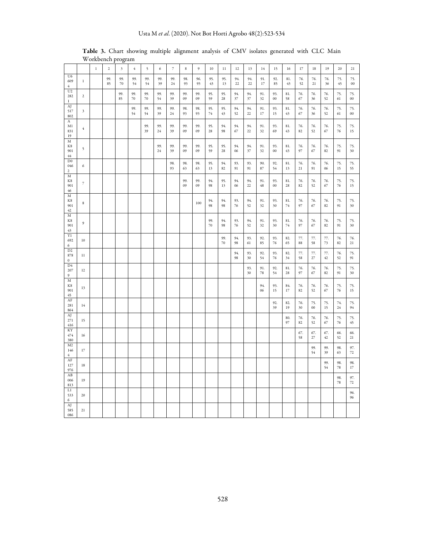|                                         |                | $\,1\,$ | $\,2$     | $\overline{\mathbf{3}}$ | $\sqrt{4}$    | 5         | 6         | $\overline{\phantom{a}}$ | $\,$ 8 $\,$ | $\boldsymbol{9}$ | 10            | 11            | 12            | 13        | 14            | 15              | 16                 | 17            | 18            | 19            | 20                 | 21            |
|-----------------------------------------|----------------|---------|-----------|-------------------------|---------------|-----------|-----------|--------------------------|-------------|------------------|---------------|---------------|---------------|-----------|---------------|-----------------|--------------------|---------------|---------------|---------------|--------------------|---------------|
| U6<br>609<br>4                          | $\mathbf{1}$   |         | 99.<br>85 | 99.<br>70               | 99.<br>54     | 99.<br>54 | 99.<br>39 | 99.<br>24                | 98.<br>93   | 96.<br>93        | 95.<br>43     | 95.<br>13     | 94.<br>22     | 94.<br>22 | 91.<br>$17\,$ | 92.<br>85       | 81.<br>43          | 76.<br>52     | 76.<br>21     | 76.<br>36     | 75.<br>45          | 75.<br>00     |
| $_{\rm U2}$<br>282<br>$\mathbf{1}$      | $\overline{2}$ |         |           | 99.<br>85               | 99.<br>$70\,$ | 99.<br>70 | 99.<br>54 | 99.<br>39                | 99.<br>09   | 99.<br>09        | 95.<br>59     | 95.<br>$28\,$ | 94.<br>37     | 94.<br>37 | 91.<br>32     | 93.<br>$0 \\ 0$ | 81.<br>58          | 76.<br>67     | 76.<br>36     | 76.<br>52     | 75.<br>61          | 75.<br>00     |
| AJ<br>517<br>802                        | $\mathfrak{Z}$ |         |           |                         | 99.<br>54     | 99.<br>54 | 99.<br>39 | 99.<br>24                | 98.<br>93   | 98.<br>93        | 95.<br>$74\,$ | 95.<br>43     | 94.<br>52     | 94.<br>22 | 91.<br>17     | 93.<br>15       | 81.<br>43          | 76.<br>67     | 76.<br>36     | 76.<br>52     | 75.<br>61          | 75.<br>00     |
| A<br>M1<br>831<br>19                    | $\overline{4}$ |         |           |                         |               | 99.<br>39 | 99.<br>24 | 99.<br>39                | 99.<br>09   | 99.<br>09        | 95.<br>28     | 94.<br>98     | 94.<br>$67\,$ | 94.<br>22 | 91.<br>32     | 93.<br>69       | 81.<br>43          | 76.<br>82     | 76.<br>52     | 76.<br>67     | 75.<br>76          | 75.<br>15     |
| M<br>$\rm K8$<br>901<br>$44\,$          | 5              |         |           |                         |               |           | 99.<br>24 | 99.<br>39                | 99.<br>09   | 99.<br>09        | 95.<br>59     | 95.<br>28     | 94.<br>06     | 94.<br>37 | 91.<br>32     | 93.<br>$00\,$   | 81.<br>43          | 76.<br>97     | 76.<br>67     | 76.<br>82     | 75.<br>91          | 75.<br>30     |
| D <sub>0</sub><br>046<br>$\overline{2}$ | 6              |         |           |                         |               |           |           | 98.<br>93                | 98.<br>63   | 98.<br>63        | 95.<br>13     | 94.<br>82     | 93.<br>91     | 93.<br>91 | 90.<br>87     | 92.<br>54       | 81.<br>13          | 76.<br>21     | 76.<br>91     | 76.<br>06     | 75.<br>15          | 75.<br>55     |
| $\mathbf M$<br>$\rm K8$<br>901<br>46    | $\overline{7}$ |         |           |                         |               |           |           |                          | 99.<br>09   | 99.<br>09        | 94.<br>98     | 95.<br>13     | 94.<br>06     | 94.<br>22 | 91.<br>48     | 93.<br>$0 \\ 0$ | 81.<br>$\sqrt{28}$ | 76.<br>82     | 76.<br>52     | 76.<br>67     | 75.<br>76          | 75.<br>15     |
| M<br>$\rm K8$<br>901<br>42              | 8              |         |           |                         |               |           |           |                          |             | 100              | 94.<br>98     | 94.<br>98     | 93.<br>76     | 94.<br>52 | 91.<br>32     | 93.<br>30       | 81.<br>74          | 76.<br>97     | 76.<br>67     | 76.<br>82     | 75.<br>91          | 75.<br>30     |
| $_{\rm M}$<br>K8<br>901<br>43           | $\overline{9}$ |         |           |                         |               |           |           |                          |             |                  | 99.<br>$70\,$ | 94.<br>98     | 93.<br>76     | 94.<br>52 | 91.<br>32     | 93.<br>30       | 81.<br>74          | 76.<br>97     | 76.<br>67     | 76.<br>82     | 75.<br>91          | 75.<br>30     |
| Y1<br>692<br>6                          | 10             |         |           |                         |               |           |           |                          |             |                  |               | 99.<br>$70\,$ | 94.<br>98     | 93.<br>61 | 92.<br>85     | 93.<br>76       | 82.<br>65          | 77.<br>88     | 77.<br>58     | 77.<br>73     | 76.<br>82          | 76.<br>21     |
| D2<br>878<br>$\boldsymbol{0}$           | 11             |         |           |                         |               |           |           |                          |             |                  |               |               | 94.<br>98     | 93.<br>30 | 92.<br>54     | 93.<br>76       | 82.<br>34          | 77.<br>58     | 77.<br>$27\,$ | 77.<br>42     | 76.<br>52          | 75.<br>91     |
| D4<br>207<br>9                          | 12             |         |           |                         |               |           |           |                          |             |                  |               |               |               | 93.<br>30 | 91.<br>$78\,$ | 92.<br>54       | 81.<br>28          | 76.<br>97     | 76.<br>67     | 76.<br>82     | 75.<br>91          | 75.<br>30     |
| M<br>$\rm K8$<br>901<br>45              | 13             |         |           |                         |               |           |           |                          |             |                  |               |               |               |           | 94.<br>06     | 93.<br>15       | 84.<br>17          | 76.<br>82     | 76.<br>52     | 76.<br>67     | 75.<br>$76\,$      | 75.<br>15     |
| AF<br>281<br>864                        | 14             |         |           |                         |               |           |           |                          |             |                  |               |               |               |           |               | 92.<br>39       | 82.<br>19          | 76.<br>$30\,$ | 75.<br>$00\,$ | 75.<br>15     | 74.<br>$\sqrt{24}$ | 75.<br>94     |
| AJ<br>$271\,$<br>416                    | 15             |         |           |                         |               |           |           |                          |             |                  |               |               |               |           |               |                 | 80.<br>97          | 76.<br>82     | 76.<br>52     | 76.<br>67     | 75.<br>76          | 75.<br>45     |
| KY<br>474<br>380                        | 16             |         |           |                         |               |           |           |                          |             |                  |               |               |               |           |               |                 |                    | 67.<br>58     | 67.<br>$27\,$ | 67.<br>$42\,$ | 66.<br>52          | 66.<br>$21\,$ |
| M <sub>2</sub><br>146<br>$\overline{4}$ | 17             |         |           |                         |               |           |           |                          |             |                  |               |               |               |           |               |                 |                    |               | 99.<br>54     | 99.<br>39     | 98.<br>63          | 97.<br>$72\,$ |
| AF<br>127<br>976                        | 18             |         |           |                         |               |           |           |                          |             |                  |               |               |               |           |               |                 |                    |               |               | 99.<br>54     | 98.<br>$78\,$      | 98.<br>$17\,$ |
| $\mathbf{A}\mathbf{B}$<br>006<br>813    | 19             |         |           |                         |               |           |           |                          |             |                  |               |               |               |           |               |                 |                    |               |               |               | 98.<br>$78\,$      | 97.<br>$72\,$ |
| $\mathop{\rm L{1}}$<br>533<br>6         | $20\,$         |         |           |                         |               |           |           |                          |             |                  |               |               |               |           |               |                 |                    |               |               |               |                    | 96.<br>96     |
| AJ<br>585<br>086                        | 21             |         |           |                         |               |           |           |                          |             |                  |               |               |               |           |               |                 |                    |               |               |               |                    |               |

Table 3. Chart showing multiple alignment analysis of CMV isolates generated with CLC Main Workbench program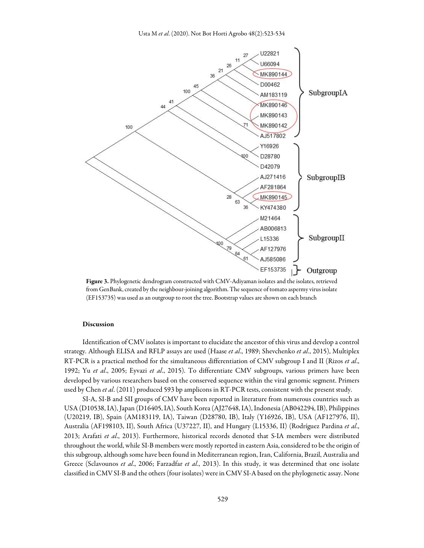

Figure 3. Phylogenetic dendrogram constructed with CMV-Adiyaman isolates and the isolates, retrieved from GenBank, created by the neighbour-joining algorithm. The sequence of tomato aspermy virus isolate (EF153735) was used as an outgroup to root the tree. Bootstrap values are shown on each branch

#### Discussion

Identification of CMV isolates is important to elucidate the ancestor of this virus and develop a control strategy. Although ELISA and RFLP assays are used (Haase et al., 1989; Shevchenko et al., 2015), Multiplex RT-PCR is a practical method for the simultaneous differentiation of CMV subgroup I and II (Rizos et al., 1992; Yu et al., 2005; Eyvazi et al., 2015). To differentiate CMV subgroups, various primers have been developed by various researchers based on the conserved sequence within the viral genomic segment. Primers used by Chen et al. (2011) produced 593 bp amplicons in RT-PCR tests, consistent with the present study.

SI-A, SI-B and SII groups of CMV have been reported in literature from numerous countries such as USA (D10538, IA), Japan (D16405, IA), South Korea (AJ27648, IA), Indonesia (AB042294, IB), Philippines (U20219, IB), Spain (AM183119, IA), Taiwan (D28780, IB), Italy (Y16926, IB), USA (AF127976, II), Australia (AF198103, II), South Africa (U37227, II), and Hungary (L15336, II) (Rodríguez Pardina et al., 2013; Arafati et al., 2013). Furthermore, historical records denoted that S-IA members were distributed throughout the world, while SI-B members were mostly reported in eastern Asia, considered to be the origin of this subgroup, although some have been found in Mediterranean region, Iran, California, Brazil, Australia and Greece (Sclavounos et al., 2006; Farzadfar et al., 2013). In this study, it was determined that one isolate classified in CMV SI-B and the others (four isolates) were in CMV SI-A based on the phylogenetic assay. None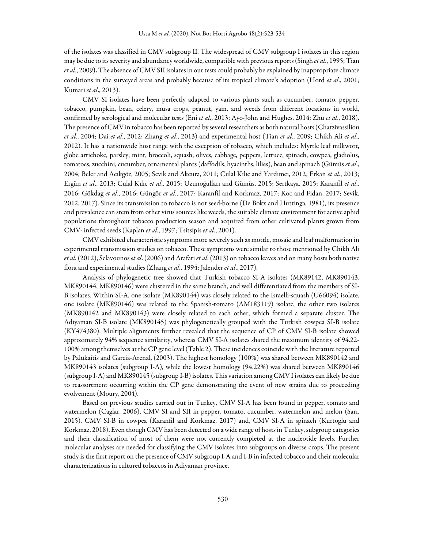of the isolates was classified in CMV subgroup II. The widespread of CMV subgroup I isolates in this region may be due to its severity and abundancy worldwide, compatible with previous reports (Singh et al., 1995; Tian et al., 2009). The absence of CMV SII isolates in our tests could probably be explained by inappropriate climate conditions in the surveyed areas and probably because of its tropical climate's adoption (Hord et al., 2001; Kumari et al., 2013).

CMV SI isolates have been perfectly adapted to various plants such as cucumber, tomato, pepper, tobacco, pumpkin, bean, celery, musa crops, peanut, yam, and weeds from different locations in world, confirmed by serological and molecular tests (Eni et al., 2013; Ayo-John and Hughes, 2014; Zhu et al., 2018). The presence of CMV in tobacco has been reported by several researchers as both natural hosts (Chatzivassiliou et al., 2004; Dai et al., 2012; Zhang et al., 2013) and experimental host (Tian et al., 2009; Chikh Ali et al., 2012). It has a nationwide host range with the exception of tobacco, which includes: Myrtle leaf milkwort, globe artichoke, parsley, mint, broccoli, squash, olives, cabbage, peppers, lettuce, spinach, cowpea, gladiolus, tomatoes, zucchini, cucumber, ornamental plants (daffodils, hyacinths, lilies), bean and spinach (Gümüs et al., 2004; Beler and Acıkgöz, 2005; Sevik and Akcura, 2011; Culal Kılıc and Yardımcı, 2012; Erkan et al., 2013; Ergün et al., 2013; Culal Kılıc et al., 2015; Uzunoğulları and Gümüs, 2015; Sertkaya, 2015; Karanfil et al., 2016; Gökdag et al., 2016; Güngör et al., 2017; Karanfil and Korkmaz, 2017; Koc and Fidan, 2017; Sevik, 2012, 2017). Since its transmission to tobacco is not seed-borne (De Bokx and Huttinga, 1981), its presence and prevalence can stem from other virus sources like weeds, the suitable climate environment for active aphid populations throughout tobacco production season and acquired from other cultivated plants grown from CMV- infected seeds (Kaplan et al., 1997; Tsitsipis et al., 2001).

CMV exhibited characteristic symptoms more severely such as mottle, mosaic and leaf malformation in experimental transmission studies on tobacco. These symptoms were similar to those mentioned by Chikh Ali et al. (2012), Sclavounos et al. (2006) and Arafati et al. (2013) on tobacco leaves and on many hosts both native flora and experimental studies (Zhang et al., 1994; Jalender et al., 2017).

Analysis of phylogenetic tree showed that Turkish tobacco SI-A isolates (MK89142, MK890143, MK890144, MK890146) were clustered in the same branch, and well differentiated from the members of SI-B isolates. Within SI-A, one isolate (MK890144) was closely related to the Israelli-squash (U66094) isolate, one isolate (MK890146) was related to the Spanish-tomato (AM183119) isolate, the other two isolates (MK890142 and MK890143) were closely related to each other, which formed a separate cluster. The Adiyaman SI-B isolate (MK890145) was phylogenetically grouped with the Turkish cowpea SI-B isolate (KY474380). Multiple alignments further revealed that the sequence of CP of CMV SI-B isolate showed approximately 94% sequence similarity, whereas CMV SI-A isolates shared the maximum identity of 94.22- 100% among themselves at the CP gene level (Table 2). These incidences coincide with the literature reported by Palukaitis and Garcia-Arenal, (2003). The highest homology (100%) was shared between MK890142 and MK890143 isolates (subgroup I-A), while the lowest homology (94.22%) was shared between MK890146 (subgroup I-A) and MK890145 (subgroup I-B) isolates. This variation among CMV I isolates can likely be due to reassortment occurring within the CP gene demonstrating the event of new strains due to proceeding evolvement (Moury, 2004).

Based on previous studies carried out in Turkey, CMV SI-A has been found in pepper, tomato and watermelon (Caglar, 2006), CMV SI and SII in pepper, tomato, cucumber, watermelon and melon (Sarı, 2015), CMV SI-B in cowpea (Karanfil and Korkmaz, 2017) and, CMV SI-A in spinach (Kurtoglu and Korkmaz, 2018). Even though CMV has been detected on a wide range of hosts in Turkey, subgroup categories and their classification of most of them were not currently completed at the nucleotide levels. Further molecular analyses are needed for classifying the CMV isolates into subgroups on diverse crops. The present study is the first report on the presence of CMV subgroup I-A and I-B in infected tobacco and their molecular characterizations in cultured tobaccos in Adiyaman province.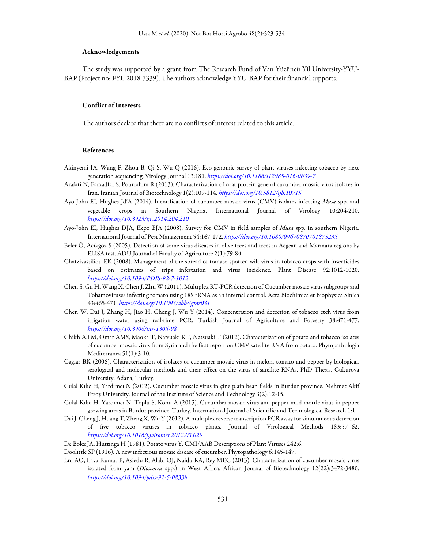#### Acknowledgements

The study was supported by a grant from The Research Fund of Van Yüzüncü Yil University-YYU-BAP (Project no: FYL-2018-7339). The authors acknowledge YYU-BAP for their financial supports.

#### Conflict of Interests

The authors declare that there are no conflicts of interest related to this article.

#### References

- Akinyemi IA, Wang F, Zhou B, Qi S, Wu Q (2016). Eco-genomic survey of plant viruses infecting tobacco by next generation sequencing. Virology Journal 13:181. https://doi.org/10.1186/s12985-016-0639-7
- Arafati N, Farzadfar S, Pourrahim R (2013). Characterization of coat protein gene of cucumber mosaic virus isolates in Iran. Iranian Journal of Biotechnology 1(2):109-114. https://doi.org/10.5812/ijb.10715
- Ayo-John EI, Hughes Jd'A (2014). Identification of cucumber mosaic virus (CMV) isolates infecting Musa spp. and vegetable crops in Southern Nigeria. International Journal of Virology 10:204-210. https://doi.org/10.3923/ijv.2014.204.210
- Ayo-John EI, Hughes DJA, Ekpo EJA (2008). Survey for CMV in field samples of Musa spp. in southern Nigeria. International Journal of Pest Management 54:167-172. https://doi.org/10.1080/09670870701875235
- Beler Ö, Acıkgöz S (2005). Detection of some virus diseases in olive trees and trees in Aegean and Marmara regions by ELISA test. ADU Journal of Faculty of Agriculture 2(1):79-84.
- Chatzivassiliou EK (2008). Management of the spread of tomato spotted wilt virus in tobacco crops with insecticides based on estimates of trips infestation and virus incidence. Plant Disease 92:1012-1020. https://doi.org/10.1094/PDIS-92-7-1012
- Chen S, Gu H, Wang X, Chen J, Zhu W (2011). Multiplex RT-PCR detection of Cucumber mosaic virus subgroups and Tobamoviruses infecting tomato using 18S rRNA as an internal control. Acta Biochimica et Biophysica Sinica 43:465-471. https://doi.org/10.1093/abbs/gmr031
- Chen W, Dai J, Zhang H, Jiao H, Cheng J, Wu Y (2014). Concentration and detection of tobacco etch virus from irrigation water using real-time PCR. Turkish Journal of Agriculture and Forestry 38:471-477. https://doi.org/10.3906/tar-1305-98
- Chikh Ali M, Omar AMS, Maoka T, Natsuaki KT, Natsuaki T (2012). Characterization of potato and tobacco isolates of cucumber mosaic virus from Syria and the first report on CMV satellite RNA from potato. Phytopathologia Mediterranea 51(1):3-10.
- Caglar BK (2006). Characterization of isolates of cucumber mosaic virus in melon, tomato and pepper by biological, serological and molecular methods and their effect on the virus of satellite RNAs. PhD Thesis, Cukurova University, Adana, Turkey.
- Culal Kılıc H, Yardımcı N (2012). Cucumber mosaic virus in çine plain bean fields in Burdur province. Mehmet Akif Ersoy University, Journal of the Institute of Science and Technology 3(2):12-15.
- Culal Kılıc H, Yardımcı N, Toplu S, Konu A (2015). Cucumber mosaic virus and pepper mild mottle virus in pepper growing areas in Burdur province, Turkey. International Journal of Scientific and Technological Research 1:1.
- Dai J, Cheng J, Huang T, Zheng X, Wu Y (2012). A multiplex reverse transcription PCR assay for simultaneous detection of five tobacco viruses in tobacco plants. Journal of Virological Methods 183:57–62. https://doi.org/10.1016/j.jviromet.2012.03.029
- De Bokx JA, Huttinga H (1981). Potato virus Y. CMI/AAB Descriptions of Plant Viruses 242:6.
- Doolittle SP (1916). A new infectious mosaic disease of cucumber. Phytopathology 6:145-147.
- Eni AO, Lava Kumar P, Asiedu R, Alabi OJ, Naidu RA, Rey MEC (2013). Characterization of cucumber mosaic virus isolated from yam (Dioscorea spp.) in West Africa. African Journal of Biotechnology 12(22):3472-3480. https://doi.org/10.1094/pdis-92-5-0833b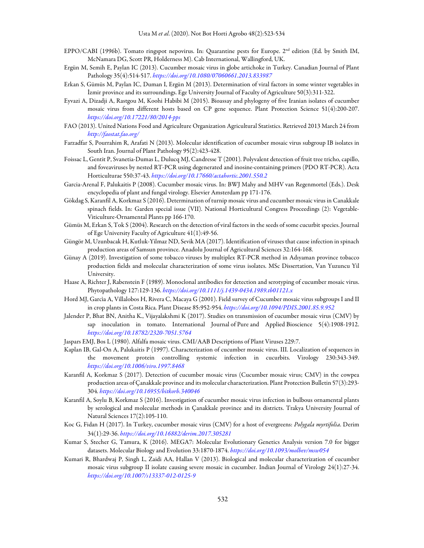- EPPO/CABI (1996b). Tomato ringspot nepovirus. In: Quarantine pests for Europe. 2nd edition (Ed. by Smith IM, McNamara DG, Scott PR, Holderness M). Cab International, Wallingford, UK.
- Ergün M, Semih E, Paylan IC (2013). Cucumber mosaic virus in globe artichoke in Turkey. Canadian Journal of Plant Pathology 35(4):514-517. https://doi.org/10.1080/07060661.2013.833987
- Erkan S, Gümüs M, Paylan IC, Duman I, Ergün M (2013). Determination of viral factors in some winter vegetables in İzmir province and its surroundings. Ege University Journal of Faculty of Agriculture 50(3):311-322.
- Eyvazi A, Dizadji A, Rastgou M, Koohi Habibi M (2015). Bioassay and phylogeny of five Iranian isolates of cucumber mosaic virus from different hosts based on CP gene sequence. Plant Protection Science 51(4):200-207. https://doi.org/10.17221/80/2014-pps
- FAO (2013). United Nations Food and Agriculture Organization Agricultural Statistics. Retrieved 2013 March 24 from http://faostat.fao.org/
- Farzadfar S, Pourrahim R, Arafati N (2013). Molecular identification of cucumber mosaic virus subgroup IB isolates in South Iran. Journal of Plant Pathology 95(2):423-428.
- Foissac L, Gentit P, Svanetia-Dumas L, Dulucq MJ, Candresse T (2001). Polyvalent detection of fruit tree tricho, capillo, and foveaviruses by nested RT-PCR using degenerated and inosine-containing primers (PDO RT-PCR). Acta Horticulturae 550:37-43. https://doi.org/10.17660/actahortic.2001.550.2
- Garcia-Arenal F, Palukaitis P (2008). Cucumber mosaic virus. In: BWJ Mahy and MHV van Regenmortel (Eds.). Desk encyclopedia of plant and fungal virology. Elsevier Amsterdam pp 171-176.
- Gökdag S, Karanfil A, Korkmaz S (2016). Determination of turnip mosaic virus and cucumber mosaic virus in Canakkale spinach fields. In: Garden special issue (VII). National Horticultural Congress Proceedings (2): Vegetable-Viticulture-Ornamental Plants pp 166-170.
- Gümüs M, Erkan S, Tok S (2004). Research on the detection of viral factors in the seeds of some cucurbit species. Journal of Ege University Faculty of Agriculture 41(1):49-56.
- Güngör M, Uzunbacak H, Kutluk-Yilmaz ND, Sevik MA (2017). Identification of viruses that cause infection in spinach production areas of Samsun province. Anadolu Journal of Agricultural Sciences 32:164-168.
- Günay A (2019). Investigation of some tobacco viruses by multiplex RT-PCR method in Adıyaman province tobacco production fields and molecular characterization of some virus isolates. MSc Dissertation, Van Yuzuncu Yil University.
- Haase A, Richter J, Rabenstein F (1989). Monoclonal antibodies for detection and serotyping of cucumber mosaic virus. Phytopathology 127:129-136. https://doi.org/10.1111/j.1439-0434.1989.tb01121.x
- Hord MJ, Garcìa A, Villalobos H, Rivera C, Macaya G (2001). Field survey of Cucumber mosaic virus subgroups I and II in crop plants in Costa Rica. Plant Disease 85:952-954. https://doi.org/10.1094/PDIS.2001.85.9.952
- Jalender P, Bhat BN, Anitha K., Vijayalakshmi K (2017). Studies on transmission of cucumber mosaic virus (CMV) by sap inoculation in tomato. International Journal of Pure and Applied Bioscience 5(4):1908-1912. https://doi.org/10.18782/2320-7051.5764
- Jaspars EMJ, Bos L (1980). Alfalfa mosaic virus. CMI/AAB Descriptions of Plant Viruses 229:7.
- Kaplan IB, Gal-On A, Palukaitis P (1997). Characterization of cucumber mosaic virus. III. Localization of sequences in the movement protein controlling systemic infection in cucurbits. Virology 230:343-349. https://doi.org/10.1006/viro.1997.8468
- Karanfil A, Korkmaz S (2017). Detection of cucumber mosaic virus (Cucumber mosaic virus; CMV) in the cowpea production areas of Çanakkale province and its molecular characterization. Plant Protection Bulletin 57(3):293- 304. https://doi.org/10.16955/bitkorb.340046
- Karanfil A, Soylu B, Korkmaz S (2016). Investigation of cucumber mosaic virus infection in bulbous ornamental plants by serological and molecular methods in Çanakkale province and its districts. Trakya University Journal of Natural Sciences 17(2):105-110.
- Koc G, Fidan H (2017). In Turkey, cucumber mosaic virus (CMV) for a host of evergreens: Polygala myrtifolia. Derim 34(1):29-36. https://doi.org/10.16882/derim.2017.305281
- Kumar S, Stecher G, Tamura, K (2016). MEGA7: Molecular Evolutionary Genetics Analysis version 7.0 for bigger datasets. Molecular Biology and Evolution 33:1870-1874. https://doi.org/10.1093/molbev/msw054
- Kumari R, Bhardwaj P, Singh L, Zaidi AA, Hallan V (2013). Biological and molecular characterization of cucumber mosaic virus subgroup II isolate causing severe mosaic in cucumber. Indian Journal of Virology 24(1):27-34. https://doi.org/10.1007/s13337-012-0125-9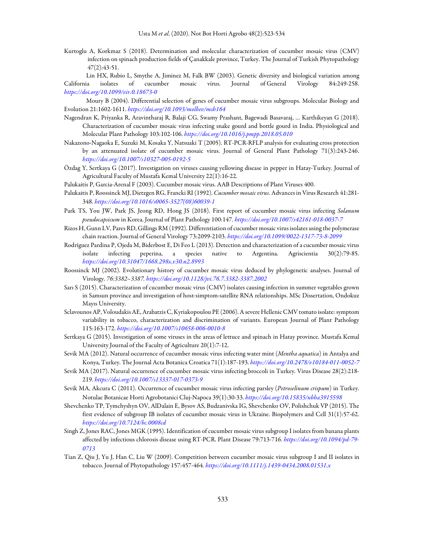Kurtoglu A, Korkmaz S (2018). Determination and molecular characterization of cucumber mosaic virus (CMV) infection on spinach production fields of Çanakkale province, Turkey. The Journal of Turkish Phytopathology 47(2):43-51.

Lin HX, Rubio L, Smythe A, Jiminez M, Falk BW (2003). Genetic diversity and biological variation among California isolates of cucumber mosaic virus. Journal of General Virology 84:249-258. https://doi.org/10.1099/vir.0.18673-0

Moury B (2004). Differential selection of genes of cucumber mosaic virus subgroups. Molecular Biology and Evolution 21:1602-1611. https://doi.org/10.1093/molbev/msh164

- Nagendran K, Priyanka R, Aravintharaj R, Balaji CG, Swamy Prashant, Bagewadi Basavaraj, … Karthikeyan G (2018). Characterization of cucumber mosaic virus infecting snake gourd and bottle gourd in India. Physiological and Molecular Plant Pathology 103:102-106. https://doi.org/10.1016/j.pmpp.2018.05.010
- Nakazono-Nagaoka E, Suzuki M, Kosaka Y, Natsuaki T (2005). RT-PCR-RFLP analysis for evaluating cross protection by an attenuated isolate of cucumber mosaic virus. Journal of General Plant Pathology 71(3):243-246. https://doi.org/10.1007/s10327-005-0192-5
- Özdag Y, Sertkaya G (2017). Investigation on viruses causing yellowing disease in pepper in Hatay-Turkey. Journal of Agricultural Faculty of Mustafa Kemal University 22(1):16-22.
- Palukaitis P, Garcia-Arenal F (2003). Cucumber mosaic virus. AAB Descriptions of Plant Viruses 400.
- Palukaitis P, Roossinck MJ, Dietzgen RG, Francki RI (1992). Cucumber mosaic virus. Advances in Virus Research 41:281- 348. https://doi.org/10.1016/s0065-3527(08)60039-1
- Park TS, You JW, Park JS, Jeong RD, Hong JS (2018). First report of cucumber mosaic virus infecting Solanum pseudocapsicum in Korea. Journal of Plant Pathology 100:147. https://doi.org/10.1007/s42161-018-0037-7
- Rizos H, Gunn LV, Pares RD, Gillings RM (1992). Differentiation of cucumber mosaic virus isolates using the polymerase chain reaction. Journal of General Virology 73:2099-2103. https://doi.org/10.1099/0022-1317-73-8-2099
- Rodríguez Pardina P, Ojeda M, Biderbost E, Di Feo L (2013). Detection and characterization of a cucumber mosaic virus isolate infecting peperina, a species native to Argentina. Agriscientia 30(2):79-85. https://doi.org/10.31047/1668.298x.v30.n2.8993
- Roossinck MJ (2002). Evolutionary history of cucumber mosaic virus deduced by phylogenetic analyses. Journal of Virology. 76:3382–3387. https://doi.org/10.1128/jvi.76.7.3382-3387.2002
- Sarı S (2015). Characterization of cucumber mosaic virus (CMV) isolates causing infection in summer vegetables grown in Samsun province and investigation of host-simptom-satellite RNA relationships. MSc Dissertation, Ondokuz Mayıs University.
- Sclavounos AP, Voloudakis AE, Arabatzis C, Kyriakopoulou PE (2006). A severe Hellenic CMV tomato isolate: symptom variability in tobacco, characterization and discrimination of variants. European Journal of Plant Pathology 115:163-172. https://doi.org/10.1007/s10658-006-0010-8
- Sertkaya G (2015). Investigation of some viruses in the areas of lettuce and spinach in Hatay province. Mustafa Kemal University Journal of the Faculty of Agriculture 20(1):7-12.
- Sevik MA (2012). Natural occurrence of cucumber mosaic virus infecting water mint (Mentha aquatica) in Antalya and Konya, Turkey. The Journal Acta Botanica Croatica 71(1):187-193. https://doi.org/10.2478/v10184-011-0052-7
- Sevik MA (2017). Natural occurrence of cucumber mosaic virus infecting broccoli in Turkey. Virus Disease 28(2):218- 219. https://doi.org/10.1007/s13337-017-0373-9
- Sevik MA, Akcura C (2011). Occurrence of cucumber mosaic virus infecting parsley (Petroselinum crispum) in Turkey. Notulae Botanicae Horti Agrobotanici Cluj-Napoca 39(1):30-33. https://doi.org/10.15835/nbha3915598
- Shevchenko TP, Tymchyshyn OV, AlDalain E, Bysov AS, Budzanivska IG, Shevchenko OV, Polishchuk VP (2015). The first evidence of subgroup IB isolates of cucumber mosaic virus in Ukraine. Biopolymers and Cell 31(1):57-62. https://doi.org/10.7124/bc.0008cd
- Singh Z, Jones RAC, Jones MGK (1995). Identification of cucumber mosaic virus subgroup I isolates from banana plants affected by infectious chlorosis disease using RT-PCR. Plant Disease 79:713-716. https://doi.org/10.1094/pd-79- 0713
- Tian Z, Qiu J, Yu J, Han C, Liu W (2009). Competition between cucumber mosaic virus subgroup I and II isolates in tobacco. Journal of Phytopathology 157:457-464. https://doi.org/10.1111/j.1439-0434.2008.01531.x